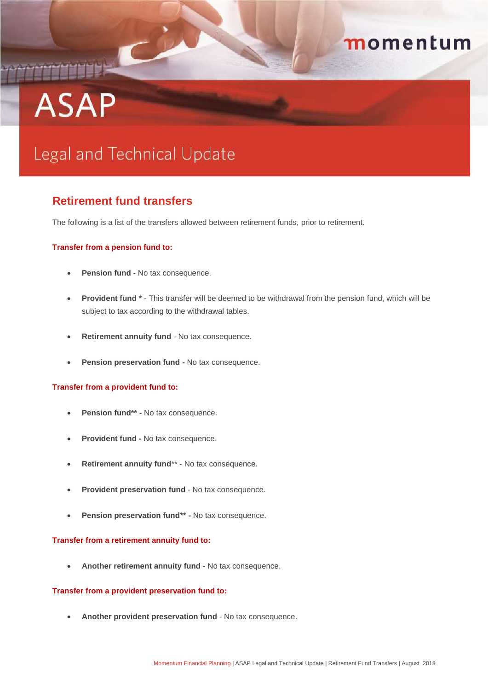## momentum

# **ASAP**

## Legal and Technical Update

### **Retirement fund transfers**

The following is a list of the transfers allowed between retirement funds, prior to retirement.

#### **Transfer from a pension fund to:**

- **Pension fund** No tax consequence.
- **Provident fund \*** This transfer will be deemed to be withdrawal from the pension fund, which will be subject to tax according to the withdrawal tables.
- **Retirement annuity fund** No tax consequence.
- **Pension preservation fund -** No tax consequence.

#### **Transfer from a provident fund to:**

- **Pension fund\*\* -** No tax consequence.
- **Provident fund -** No tax consequence.
- **Retirement annuity fund**\*\* No tax consequence.
- **Provident preservation fund** No tax consequence.
- **Pension preservation fund\*\* -** No tax consequence.

#### **Transfer from a retirement annuity fund to:**

**Another retirement annuity fund** - No tax consequence.

#### **Transfer from a provident preservation fund to:**

**Another provident preservation fund** - No tax consequence.